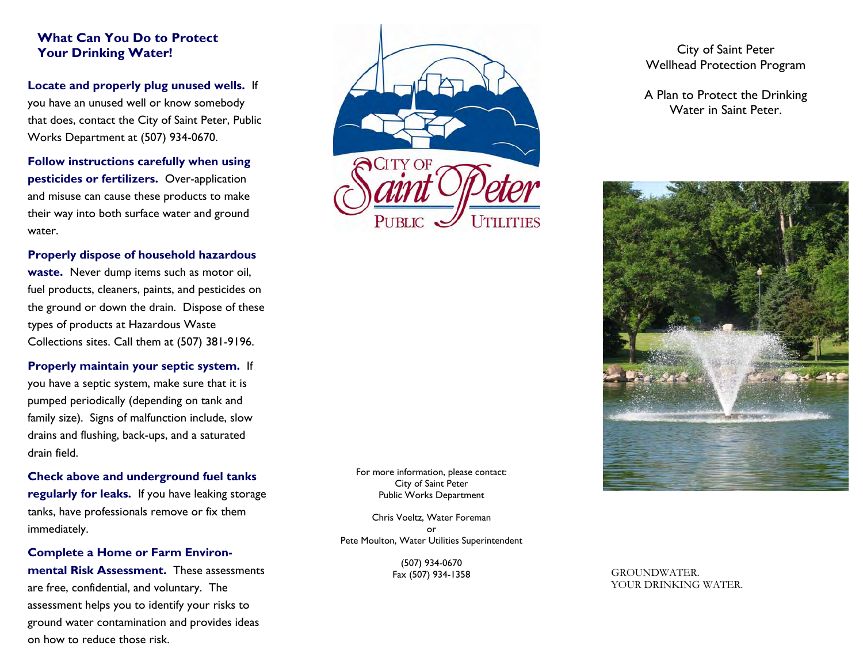### **What Can You Do to Protect Your Drinking Water!**

**Locate and properly plug unused wells.** If you have an unused well or know somebody that does, contact the City of Saint Peter, Public Works Department at (507) 934-0670.

**Follow instructions carefully when using pesticides or fertilizers.** Over-application and misuse can cause these products to make their way into both surface water and ground water.

#### **Properly dispose of household hazardous**

**waste.** Never dump items such as motor oil, fuel products, cleaners, paints, and pesticides on the ground or down the drain. Dispose of these types of products at Hazardous Waste Collections sites. Call them at (507) 381-9196.

**Properly maintain your septic system.** If you have a septic system, make sure that it is pumped periodically (depending on tank and family size). Signs of malfunction include, slow drains and flushing, back-ups, and a saturated drain field.

**Check above and underground fuel tanks regularly for leaks.** If you have leaking storage tanks, have professionals remove or fix them immediately.

**Complete a Home or Farm Environmental Risk Assessment.** These assessments are free, confidential, and voluntary. The assessment helps you to identify your risks to ground water contamination and provides ideas on how to reduce those risk.



City of Saint Peter Wellhead Protection Program

A Plan to Protect the Drinking Water in Saint Peter.



For more information, please contact: City of Saint Peter Public Works Department

Chris Voeltz, Water Foreman or Pete Moulton, Water Utilities Superintendent

> (507) 934-0670 Fax (507) 934-1358

GROUNDWATER. YOUR DRINKING WATER.